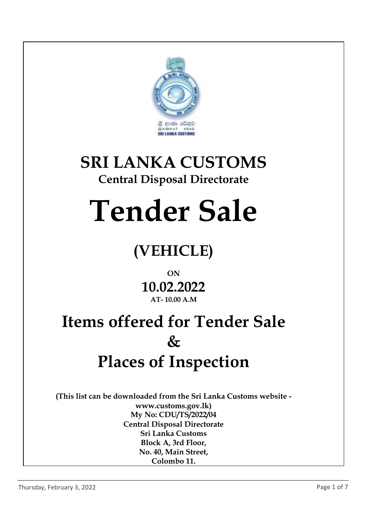

# **SRI LANKA CUSTOMS**

#### **Central Disposal Directorate**

# **Tender Sale**

### **(VEHICLE)**

#### **ON 10.02.2022 AT- 10.00 A.M**

## **Items offered for Tender Sale & Places of Inspection**

**(This list can be downloaded from the Sri Lanka Customs website www.customs.gov.lk) My No: CDU/TS/2022/04 Central Disposal Directorate Sri Lanka Customs Block A, 3rd Floor, No. 40, Main Street, Colombo 11.**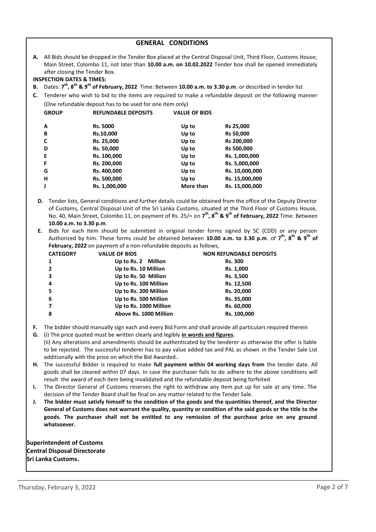| <b>GENERAL CONDITIONS</b> |                                                                                                                                                                                                                                                                                                                                                                                    |                        |           |                |  |
|---------------------------|------------------------------------------------------------------------------------------------------------------------------------------------------------------------------------------------------------------------------------------------------------------------------------------------------------------------------------------------------------------------------------|------------------------|-----------|----------------|--|
|                           | A. All Bids should be dropped in the Tender Box placed at the Central Disposal Unit, Third Floor, Customs House;<br>Main Street, Colombo 11, not later than 10.00 a.m. on 10.02.2022 Tender box shall be opened immediately<br>after closing the Tender Box.                                                                                                                       |                        |           |                |  |
|                           | <b>INSPECTION DATES &amp; TIMES:</b>                                                                                                                                                                                                                                                                                                                                               |                        |           |                |  |
| <b>B.</b>                 | Dates: 7 <sup>th</sup> , 8 <sup>th</sup> & 9 <sup>th</sup> of February, 2022 Time: Between 10.00 a.m. to 3.30 p.m. or described in tender list                                                                                                                                                                                                                                     |                        |           |                |  |
|                           | C. Tenderer who wish to bid to the items are required to make a refundable deposit on the following manner                                                                                                                                                                                                                                                                         |                        |           |                |  |
|                           | (One refundable deposit has to be used for one item only)                                                                                                                                                                                                                                                                                                                          |                        |           |                |  |
|                           | <b>GROUP</b><br><b>REFUNDABLE DEPOSITS</b><br><b>VALUE OF BIDS</b>                                                                                                                                                                                                                                                                                                                 |                        |           |                |  |
|                           | Α                                                                                                                                                                                                                                                                                                                                                                                  | Rs. 5000               | Up to     | Rs 25,000      |  |
|                           | B                                                                                                                                                                                                                                                                                                                                                                                  | Rs.10,000              | Up to     | Rs 50,000      |  |
|                           | C                                                                                                                                                                                                                                                                                                                                                                                  | Rs. 25,000             | Up to     | Rs 200,000     |  |
|                           | D                                                                                                                                                                                                                                                                                                                                                                                  | Rs. 50,000             | Up to     | Rs 500,000     |  |
|                           | E                                                                                                                                                                                                                                                                                                                                                                                  | Rs. 100,000            | Up to     | Rs. 1,000,000  |  |
|                           | F                                                                                                                                                                                                                                                                                                                                                                                  | Rs. 200,000            | Up to     | Rs. 5,000,000  |  |
|                           | G                                                                                                                                                                                                                                                                                                                                                                                  | Rs. 400,000            | Up to     | Rs. 10,000,000 |  |
|                           | н                                                                                                                                                                                                                                                                                                                                                                                  | Rs. 500,000            | Up to     | Rs. 15,000,000 |  |
|                           | J                                                                                                                                                                                                                                                                                                                                                                                  | Rs. 1,000,000          | More than | Rs. 15,000,000 |  |
|                           | Tender lists, General conditions and further details could be obtained from the office of the Deputy Director<br>D.<br>of Customs, Central Disposal Unit of the Sri Lanka Customs, situated at the Third Floor of Customs House,<br>No. 40, Main Street, Colombo 11, on payment of Rs. 25/= on 7 <sup>th</sup> , 8 <sup>th</sup> & 9 <sup>th</sup> of February, 2022 Time: Between |                        |           |                |  |
|                           | 10.00 a.m. to 3.30 p.m.                                                                                                                                                                                                                                                                                                                                                            |                        |           |                |  |
|                           | Bids for each item should be submitted in original tender forms signed by SC (CDD) or any person<br>Ε.<br>Authorized by him. These forms could be obtained between 10.00 a.m. to 3.30 p.m. of 7 <sup>th</sup> , 8 <sup>th</sup> & 9 <sup>th</sup> of<br>February, 2022 on payment of a non-refundable deposits as follows,                                                         |                        |           |                |  |
|                           | <b>CATEGORY</b><br><b>VALUE OF BIDS</b><br><b>NON REFUNDABLE DEPOSITS</b>                                                                                                                                                                                                                                                                                                          |                        |           |                |  |
|                           | 1                                                                                                                                                                                                                                                                                                                                                                                  | Up to Rs. 2 Million    |           | <b>Rs. 300</b> |  |
|                           | 2                                                                                                                                                                                                                                                                                                                                                                                  | Up to Rs. 10 Million   |           | Rs. 1,000      |  |
|                           | 3                                                                                                                                                                                                                                                                                                                                                                                  | Up to Rs. 50 Million   |           | Rs. 3,500      |  |
|                           | 4                                                                                                                                                                                                                                                                                                                                                                                  | Up to Rs. 100 Million  |           | Rs. 12,500     |  |
|                           | 5                                                                                                                                                                                                                                                                                                                                                                                  | Up to Rs. 200 Million  |           | Rs. 20,000     |  |
|                           | 6                                                                                                                                                                                                                                                                                                                                                                                  | Up to Rs. 500 Million  |           | Rs. 35,000     |  |
|                           | $\overline{\mathbf{z}}$                                                                                                                                                                                                                                                                                                                                                            | Up to Rs. 1000 Million |           | Rs. 60,000     |  |

**F.** The bidder should manually sign each and every Bid Form and shall provide all particulars required therein

**8 Above Rs. 1000 Million Rs. 100,000**

- **G.** (i) The price quoted must be written clearly and legibly **in words and figures.** (ii) Any alterations and amendments should be authenticated by the tenderer as otherwise the offer is liable to be rejected. The successful tenderer has to pay value added tax and PAL as shown in the Tender Sale List additionally with the price on which the Bid Awarded..
- **H.** The successful Bidder is required to make **full payment within 04 working days from** the tender date. All goods shall be cleared within 07 days. In case the purchaser fails to do adhere to the above conditions will result the award of each item being invalidated and the refundable deposit being forfeited
- **I.** The Director General of Customs reserves the right to withdraw any item put up for sale at any time. The decision of the Tender Board shall be final on any matter related to the Tender Sale.
- **J. The bidder must satisfy himself to the condition of the goods and the quantities thereof, and the Director General of Customs does not warrant the quality, quantity or condition of the said goods or the title to the goods. The purchaser shall not be entitled to any remission of the purchase price on any ground whatsoever.**

**Superintendent of Customs Central Disposal Directorate Sri Lanka Customs.**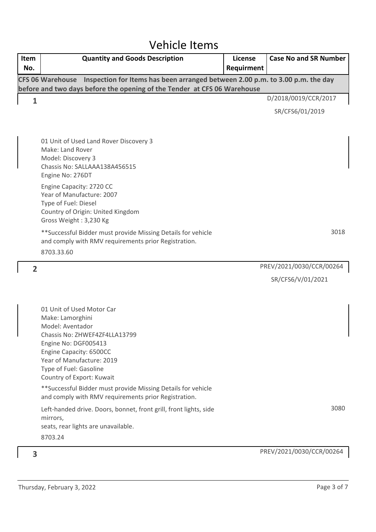#### Vehicle Items

| Item           | <b>Quantity and Goods Description</b>                                                                                                                                                                                                                                                                                                                                                                                                               | License    | <b>Case No and SR Number</b> |
|----------------|-----------------------------------------------------------------------------------------------------------------------------------------------------------------------------------------------------------------------------------------------------------------------------------------------------------------------------------------------------------------------------------------------------------------------------------------------------|------------|------------------------------|
| No.            |                                                                                                                                                                                                                                                                                                                                                                                                                                                     | Requirment |                              |
|                | CFS 06 Warehouse Inspection for Items has been arranged between 2.00 p.m. to 3.00 p.m. the day<br>before and two days before the opening of the Tender at CFS 06 Warehouse                                                                                                                                                                                                                                                                          |            |                              |
| $\mathbf{1}$   |                                                                                                                                                                                                                                                                                                                                                                                                                                                     |            | D/2018/0019/CCR/2017         |
|                |                                                                                                                                                                                                                                                                                                                                                                                                                                                     |            | SR/CFS6/01/2019              |
|                |                                                                                                                                                                                                                                                                                                                                                                                                                                                     |            |                              |
|                | 01 Unit of Used Land Rover Discovery 3<br>Make: Land Rover<br>Model: Discovery 3<br>Chassis No: SALLAAA138A456515<br>Engine No: 276DT                                                                                                                                                                                                                                                                                                               |            |                              |
|                | Engine Capacity: 2720 CC<br>Year of Manufacture: 2007<br>Type of Fuel: Diesel<br>Country of Origin: United Kingdom<br>Gross Weight: 3,230 Kg                                                                                                                                                                                                                                                                                                        |            |                              |
|                | ** Successful Bidder must provide Missing Details for vehicle<br>and comply with RMV requirements prior Registration.<br>8703.33.60                                                                                                                                                                                                                                                                                                                 |            | 3018                         |
| $\overline{2}$ |                                                                                                                                                                                                                                                                                                                                                                                                                                                     |            | PREV/2021/0030/CCR/00264     |
|                |                                                                                                                                                                                                                                                                                                                                                                                                                                                     |            | SR/CFS6/V/01/2021            |
|                | 01 Unit of Used Motor Car<br>Make: Lamorghini<br>Model: Aventador<br>Chassis No: ZHWEF4ZF4LLA13799<br>Engine No: DGF005413<br>Engine Capacity: 6500CC<br>Year of Manufacture: 2019<br>Type of Fuel: Gasoline<br>Country of Export: Kuwait<br>** Successful Bidder must provide Missing Details for vehicle<br>and comply with RMV requirements prior Registration.<br>Left-handed drive. Doors, bonnet, front grill, front lights, side<br>mirrors, |            | 3080                         |
|                | seats, rear lights are unavailable.<br>8703.24                                                                                                                                                                                                                                                                                                                                                                                                      |            |                              |
| 3              |                                                                                                                                                                                                                                                                                                                                                                                                                                                     |            | PREV/2021/0030/CCR/00264     |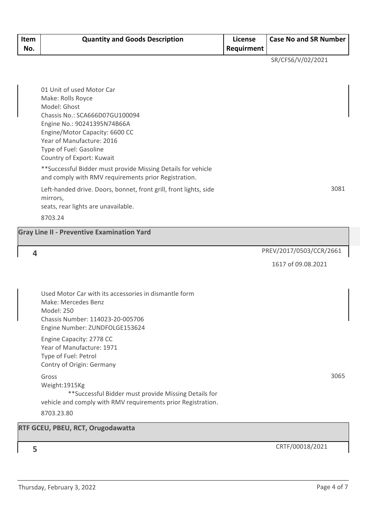| Item<br>No. | <b>Quantity and Goods Description</b>                                                                                 | <b>License</b><br>Requirment | <b>Case No and SR Number</b> |
|-------------|-----------------------------------------------------------------------------------------------------------------------|------------------------------|------------------------------|
|             |                                                                                                                       |                              | SR/CFS6/V/02/2021            |
|             |                                                                                                                       |                              |                              |
|             | 01 Unit of used Motor Car                                                                                             |                              |                              |
|             | Make: Rolls Royce<br>Model: Ghost                                                                                     |                              |                              |
|             | Chassis No.: SCA666D07GU100094                                                                                        |                              |                              |
|             | Engine No.: 90241395N74B66A<br>Engine/Motor Capacity: 6600 CC                                                         |                              |                              |
|             | Year of Manufacture: 2016                                                                                             |                              |                              |
|             | Type of Fuel: Gasoline                                                                                                |                              |                              |
|             | Country of Export: Kuwait                                                                                             |                              |                              |
|             | ** Successful Bidder must provide Missing Details for vehicle<br>and comply with RMV requirements prior Registration. |                              |                              |
|             | Left-handed drive. Doors, bonnet, front grill, front lights, side                                                     |                              | 3081                         |
|             | mirrors,<br>seats, rear lights are unavailable.                                                                       |                              |                              |
|             | 8703.24                                                                                                               |                              |                              |
|             | <b>Gray Line II - Preventive Examination Yard</b>                                                                     |                              |                              |
|             |                                                                                                                       |                              |                              |
| 4           |                                                                                                                       |                              | PREV/2017/0503/CCR/2661      |
|             |                                                                                                                       |                              | 1617 of 09.08.2021           |
|             |                                                                                                                       |                              |                              |
|             | Used Motor Car with its accessories in dismantle form<br>Make: Mercedes Benz                                          |                              |                              |
|             | Model: 250                                                                                                            |                              |                              |
|             | Chassis Number: 114023-20-005706<br>Engine Number: ZUNDFOLGE153624                                                    |                              |                              |
|             | Engine Capacity: 2778 CC                                                                                              |                              |                              |
|             | Year of Manufacture: 1971<br>Type of Fuel: Petrol                                                                     |                              |                              |
|             | Contry of Origin: Germany                                                                                             |                              |                              |
|             | Gross                                                                                                                 |                              | 3065                         |

Weight:1915Kg \*\*Successful Bidder must provide Missing Details for vehicle and comply with RMV requirements prior Registration. 8703.23.80

**RTF GCEU, PBEU, RCT, Orugodawatta**

CRTF/00018/2021 **5**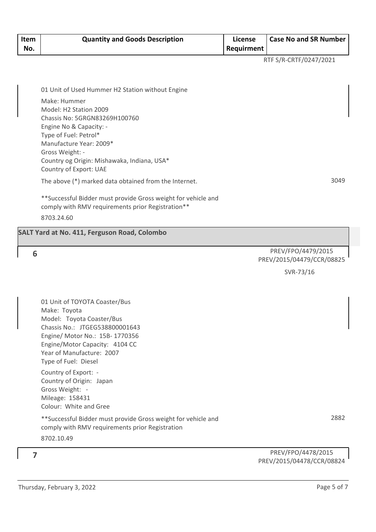| Item<br>No. | <b>Quantity and Goods Description</b>                                                                              | <b>License</b><br>Requirment | <b>Case No and SR Number</b> |
|-------------|--------------------------------------------------------------------------------------------------------------------|------------------------------|------------------------------|
|             |                                                                                                                    |                              | RTF S/R-CRTF/0247/2021       |
|             |                                                                                                                    |                              |                              |
|             | 01 Unit of Used Hummer H2 Station without Engine                                                                   |                              |                              |
|             | Make: Hummer<br>Model: H2 Station 2009                                                                             |                              |                              |
|             | Chassis No: 5GRGN83269H100760                                                                                      |                              |                              |
|             | Engine No & Capacity: -<br>Type of Fuel: Petrol*                                                                   |                              |                              |
|             | Manufacture Year: 2009*                                                                                            |                              |                              |
|             | Gross Weight: -<br>Country og Origin: Mishawaka, Indiana, USA*                                                     |                              |                              |
|             | Country of Export: UAE                                                                                             |                              |                              |
|             | The above (*) marked data obtained from the Internet.                                                              |                              | 3049                         |
|             | **Successful Bidder must provide Gross weight for vehicle and<br>comply with RMV requirements prior Registration** |                              |                              |
|             | 8703.24.60                                                                                                         |                              |                              |
|             | SALT Yard at No. 411, Ferguson Road, Colombo                                                                       |                              |                              |
| 6           |                                                                                                                    |                              | PREV/FPO/4479/2015           |
|             |                                                                                                                    |                              | PREV/2015/04479/CCR/08825    |
|             |                                                                                                                    |                              | SVR-73/16                    |
|             |                                                                                                                    |                              |                              |
|             | 01 Unit of TOYOTA Coaster/Bus                                                                                      |                              |                              |
|             | Make: Toyota<br>Model: Toyota Coaster/Bus                                                                          |                              |                              |
|             | Chassis No.: JTGEG538800001643                                                                                     |                              |                              |
|             | Engine/ Motor No.: 15B-1770356<br>Engine/Motor Capacity: 4104 CC                                                   |                              |                              |
|             | Year of Manufacture: 2007                                                                                          |                              |                              |
|             | Type of Fuel: Diesel<br>Country of Export: -                                                                       |                              |                              |
|             | Country of Origin: Japan                                                                                           |                              |                              |
|             | Gross Weight: -<br>Mileage: 158431                                                                                 |                              |                              |
|             | Colour: White and Gree                                                                                             |                              |                              |
|             | **Successful Bidder must provide Gross weight for vehicle and<br>comply with RMV requirements prior Registration   |                              | 2882                         |

PREV/FPO/4478/2015 PREV/2015/04478/CCR/08824

8702.10.49

**7**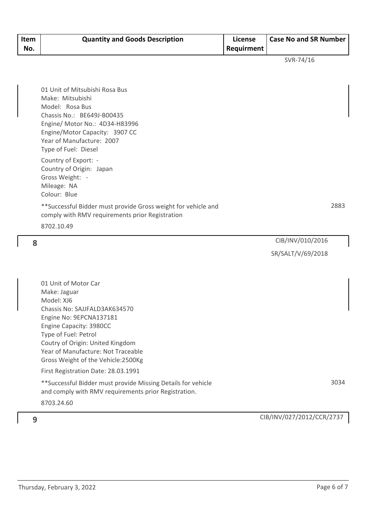| Item<br>No. | <b>Quantity and Goods Description</b> | License<br>Requirment | <b>Case No and SR Number</b> |
|-------------|---------------------------------------|-----------------------|------------------------------|
|             |                                       |                       | SVR-74/16                    |

| 01 Unit of Mitsubishi Rosa Bus |
|--------------------------------|
| Make: Mitsubishi               |
| Model: Rosa Bus                |
| Chassis No.: BE649J-B00435     |
| Engine/ Motor No.: 4D34-H83996 |
| Engine/Motor Capacity: 3907 CC |
| Year of Manufacture: 2007      |
| Type of Fuel: Diesel           |
| Country of Export: -           |

Country of Origin: Japan Gross Weight: - Mileage: NA Colour: Blue

\*\*Successful Bidder must provide Gross weight for vehicle and comply with RMV requirements prior Registration

8702.10.49

CIB/INV/010/2016 **8** SR/SALT/V/69/2018

01 Unit of Motor Car Make: Jaguar Model: XJ6 Chassis No: SAJJFALD3AK634570 Engine No: 9EPCNA137181 Engine Capacity: 3980CC Type of Fuel: Petrol Coutry of Origin: United Kingdom Year of Manufacture: Not Traceable Gross Weight of the Vehicle:2500Kg

First Registration Date: 28.03.1991

\*\*Successful Bidder must provide Missing Details for vehicle and comply with RMV requirements prior Registration. 8703.24.60

2883

CIB/INV/027/2012/CCR/2737 **9**